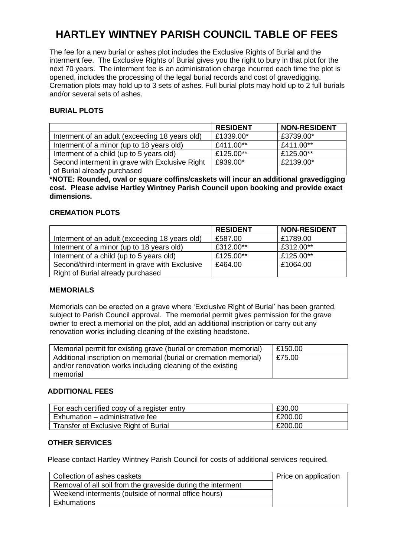# **HARTLEY WINTNEY PARISH COUNCIL TABLE OF FEES**

The fee for a new burial or ashes plot includes the Exclusive Rights of Burial and the interment fee. The Exclusive Rights of Burial gives you the right to bury in that plot for the next 70 years. The interment fee is an administration charge incurred each time the plot is opened, includes the processing of the legal burial records and cost of gravedigging. Cremation plots may hold up to 3 sets of ashes. Full burial plots may hold up to 2 full burials and/or several sets of ashes.

# **BURIAL PLOTS**

|                                                | <b>RESIDENT</b> | <b>NON-RESIDENT</b> |
|------------------------------------------------|-----------------|---------------------|
| Interment of an adult (exceeding 18 years old) | £1339.00*       | £3739.00*           |
| Interment of a minor (up to 18 years old)      | £411.00**       | £411.00**           |
| Interment of a child (up to 5 years old)       | £125.00**       | £125.00**           |
| Second interment in grave with Exclusive Right | £939.00*        | £2139.00*           |
| of Burial already purchased                    |                 |                     |

**\*NOTE: Rounded, oval or square coffins/caskets will incur an additional gravedigging cost. Please advise Hartley Wintney Parish Council upon booking and provide exact dimensions.**

# **CREMATION PLOTS**

|                                                | <b>RESIDENT</b> | <b>NON-RESIDENT</b> |
|------------------------------------------------|-----------------|---------------------|
| Interment of an adult (exceeding 18 years old) | £587.00         | £1789.00            |
| Interment of a minor (up to 18 years old)      | £312.00**       | £312.00**           |
| Interment of a child (up to 5 years old)       | £125.00**       | £125.00**           |
| Second/third interment in grave with Exclusive | £464.00         | £1064.00            |
| Right of Burial already purchased              |                 |                     |

#### **MEMORIALS**

Memorials can be erected on a grave where 'Exclusive Right of Burial' has been granted, subject to Parish Council approval. The memorial permit gives permission for the grave owner to erect a memorial on the plot, add an additional inscription or carry out any renovation works including cleaning of the existing headstone.

| Memorial permit for existing grave (burial or cremation memorial) | E150.00 |
|-------------------------------------------------------------------|---------|
| Additional inscription on memorial (burial or cremation memorial) | E75.00  |
| and/or renovation works including cleaning of the existing        |         |
| memorial                                                          |         |

#### **ADDITIONAL FEES**

| For each certified copy of a register entry | £30.00  |
|---------------------------------------------|---------|
| Exhumation – administrative fee             | E200.00 |
| Transfer of Exclusive Right of Burial       | £200.00 |

#### **OTHER SERVICES**

Please contact Hartley Wintney Parish Council for costs of additional services required.

| Collection of ashes caskets                                 | Price on application |
|-------------------------------------------------------------|----------------------|
| Removal of all soil from the graveside during the interment |                      |
| Weekend interments (outside of normal office hours)         |                      |
| Exhumations                                                 |                      |